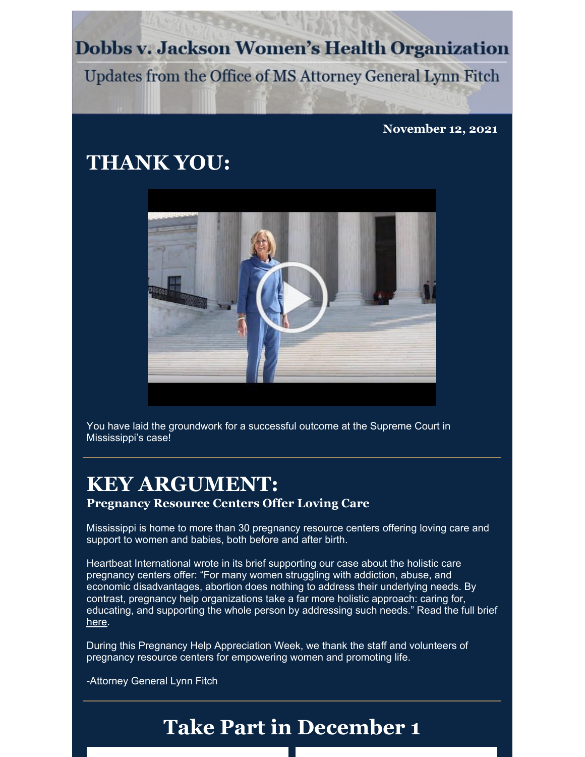**Dobbs v. Jackson Women's Health Organization** 

Updates from the Office of MS Attorney General Lynn Fitch

**November 12, 2021**

## **THANK YOU:**



You have laid the groundwork for a successful outcome at the Supreme Court in Mississippi's case!

## **KEY ARGUMENT:**

**Pregnancy Resource Centers Offer Loving Care**

Mississippi is home to more than 30 pregnancy resource centers offering loving care and support to women and babies, both before and after birth.

Heartbeat International wrote in its brief supporting our case about the holistic care pregnancy centers offer: "For many women struggling with addiction, abuse, and economic disadvantages, abortion does nothing to address their underlying needs. By contrast, pregnancy help organizations take a far more holistic approach: caring for, educating, and supporting the whole person by addressing such needs." Read the full brief [here](https://www.supremecourt.gov/DocketPDF/19/19-1392/185354/20210729164709878_Dobbs Amicus Brief - FINAL.pdf).

During this Pregnancy Help Appreciation Week, we thank the staff and volunteers of pregnancy resource centers for empowering women and promoting life.

-Attorney General Lynn Fitch

## **Take Part in December 1**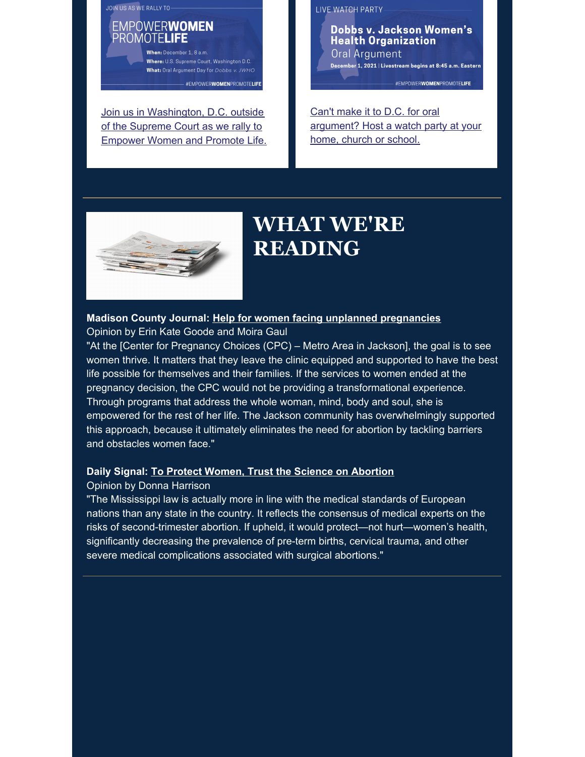JOIN US AS WE RALLY TO-

**EMPOWERWOMEN** PROMOTELIFE

> When December 1 8 a m Where: U.S. Supreme Court, Washington D.C. What: Oral Argument Day for Dobbs v. JWHO - #EMPOWERWOMENPROMOTELIFE

Join us in [Washington,](https://www.ago.state.ms.us/dobbs/) D.C. outside of the Supreme Court as we rally to Empower Women and Promote Life. LIVE WATCH PARTY

Dobbs v. Jackson Women's **Health Organization** Oral Argument December 1, 2021 | Livestream begins at 8:45 a.m. Eastern

#EMPOWERWOMENPROMOTELIFE

Can't make it to D.C. for oral [argument?](https://www.ago.state.ms.us/dobbs-watch-party/) Host a watch party at your home, church or school.



## **WHAT WE'RE READING**

**Madison County Journal: Help for women facing unplanned [pregnancies](https://onlinemadison.com/stories/help-for-women-facing-unplanned-pregnancies,35743)** Opinion by Erin Kate Goode and Moira Gaul

"At the [Center for Pregnancy Choices (CPC) – Metro Area in Jackson], the goal is to see women thrive. It matters that they leave the clinic equipped and supported to have the best life possible for themselves and their families. If the services to women ended at the pregnancy decision, the CPC would not be providing a transformational experience. Through programs that address the whole woman, mind, body and soul, she is empowered for the rest of her life. The Jackson community has overwhelmingly supported this approach, because it ultimately eliminates the need for abortion by tackling barriers and obstacles women face."

#### **Daily Signal: To Protect Women, Trust the Science on [Abortion](https://www.dailysignal.com/2021/11/09/to-protect-women-trust-the-science-on-abortion/)**

Opinion by Donna Harrison

"The Mississippi law is actually more in line with the medical standards of European nations than any state in the country. It reflects the consensus of medical experts on the risks of second-trimester abortion. If upheld, it would protect—not hurt—women's health, significantly decreasing the prevalence of pre-term births, cervical trauma, and other severe medical complications associated with surgical abortions."